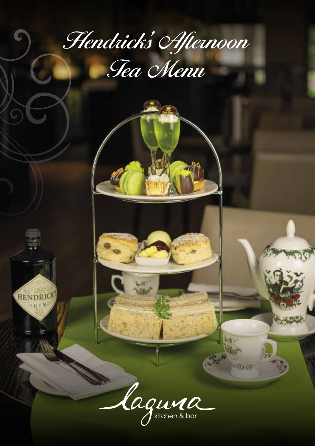## Hendrick's Afternoon Tea Menu

Caguina

33350

**HENDRICK**  $-$  G I N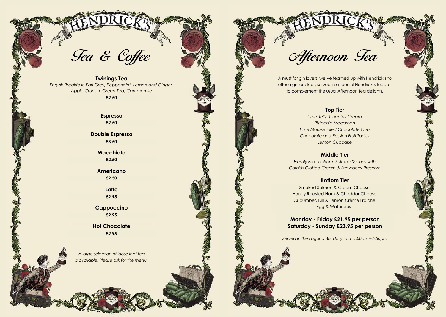# Tea & Coffee

**Twinings Tea** *English Breakfast, Earl Grey, Peppermint, Lemon and Ginger, Apple Crunch, Green Tea, Cammomile*

**£2.25**

**Espresso £2.25 £2.50£2.50£3.50£2.50**

**Double Espresso £3.25**

> **Macchiato £2.25**

**Americano £2.25 £2.50**

> **Latte £2.75 £2.95**

**Cappuccino £2.75**

**Hot Chocolate £2.75**

*A large selection of loose leaf tea is available. Please ask for the menu.* Afternoon Tea

A must for gin lovers, we've teamed up with Hendrick's to offer a gin cocktail, served in a special Hendrick's teapot, to complement the usual Afternoon Tea delights.

#### **Top Tier**

*Lime Jelly, Chantilly Cream Pistachio Macaroon Lime Mousse Filled Chocolate Cup Chocolate and Passion Fruit Tartlet Lemon Cupcake*

#### **Middle Tier**

*Freshly Baked Warm Sultana Scones with Cornish Clotted Cream & Strawberry Preserve*

### **Bottom Tier**

**Severn and Salmon & Cream Cheese and Direct Smoked Salmon & Cream Cheese** Honey Roasted Ham & Cheddar Cheese *Free Range Egg Mayonnaise and Cress* Cucumber, Dill & Lemon Crème FraicheEgg & Watercress *<u>Egg & Watercress</u>* 

**Monday – Friday £20.95 per person Saturday – Sunday £22.95 per person Saturday - Sunday £23.95 per person**E2.95<br>Chocolate Monday - Friday £21.95 per person<br>E2.95<br>E2.95

*Served in the Laguna Bar daily from 1:00pm – 5.30pm*